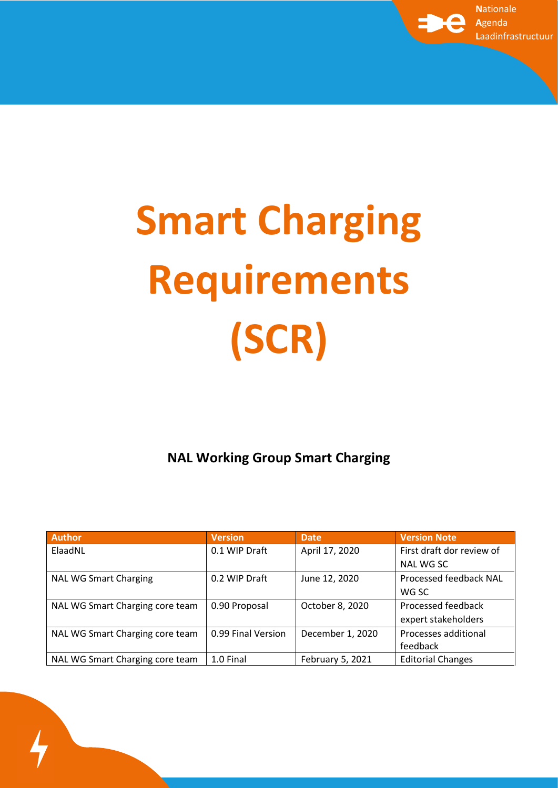

# **Smart Charging Requirements (SCR)**

**NAL Working Group Smart Charging**

| <b>Author</b>                   | <b>Version</b>     | <b>Date</b>      | <b>Version Note</b>       |
|---------------------------------|--------------------|------------------|---------------------------|
| ElaadNL                         | 0.1 WIP Draft      | April 17, 2020   | First draft dor review of |
|                                 |                    |                  | NAL WG SC                 |
| <b>NAL WG Smart Charging</b>    | 0.2 WIP Draft      | June 12, 2020    | Processed feedback NAL    |
|                                 |                    |                  | WG SC                     |
| NAL WG Smart Charging core team | 0.90 Proposal      | October 8, 2020  | Processed feedback        |
|                                 |                    |                  | expert stakeholders       |
| NAL WG Smart Charging core team | 0.99 Final Version | December 1, 2020 | Processes additional      |
|                                 |                    |                  | feedback                  |
| NAL WG Smart Charging core team | 1.0 Final          | February 5, 2021 | <b>Editorial Changes</b>  |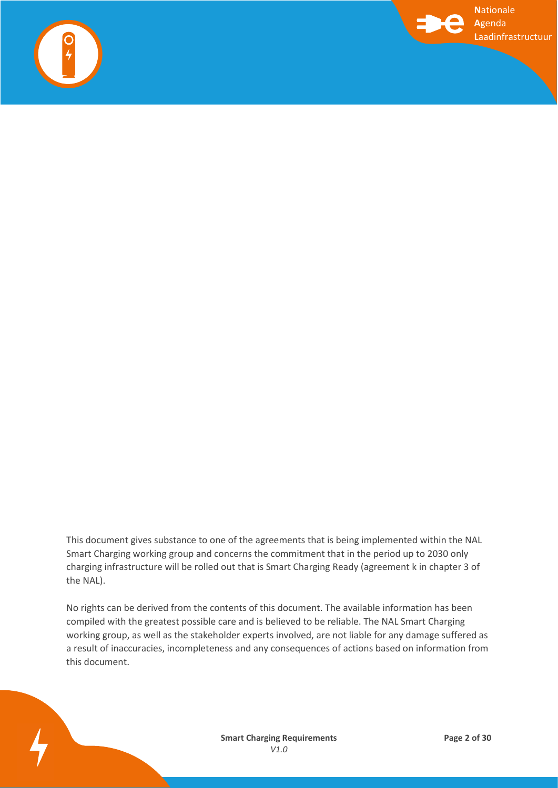

This document gives substance to one of the agreements that is being implemented within the NAL Smart Charging working group and concerns the commitment that in the period up to 2030 only charging infrastructure will be rolled out that is Smart Charging Ready (agreement k in chapter 3 of the NAL).

No rights can be derived from the contents of this document. The available information has been compiled with the greatest possible care and is believed to be reliable. The NAL Smart Charging working group, as well as the stakeholder experts involved, are not liable for any damage suffered as a result of inaccuracies, incompleteness and any consequences of actions based on information from this document.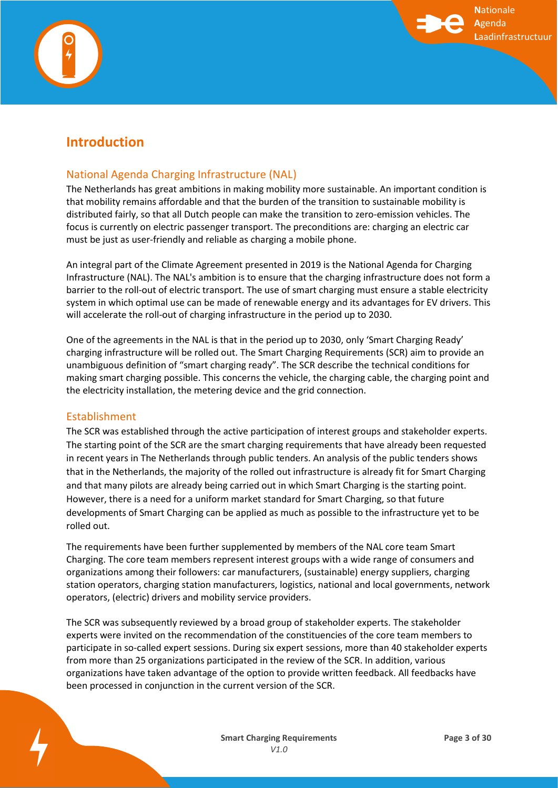

# <span id="page-2-0"></span>**Introduction**

## <span id="page-2-1"></span>National Agenda Charging Infrastructure (NAL)

The Netherlands has great ambitions in making mobility more sustainable. An important condition is that mobility remains affordable and that the burden of the transition to sustainable mobility is distributed fairly, so that all Dutch people can make the transition to zero-emission vehicles. The focus is currently on electric passenger transport. The preconditions are: charging an electric car must be just as user-friendly and reliable as charging a mobile phone.

An integral part of the Climate Agreement presented in 2019 is the National Agenda for Charging Infrastructure (NAL). The NAL's ambition is to ensure that the charging infrastructure does not form a barrier to the roll-out of electric transport. The use of smart charging must ensure a stable electricity system in which optimal use can be made of renewable energy and its advantages for EV drivers. This will accelerate the roll-out of charging infrastructure in the period up to 2030.

One of the agreements in the NAL is that in the period up to 2030, only 'Smart Charging Ready' charging infrastructure will be rolled out. The Smart Charging Requirements (SCR) aim to provide an unambiguous definition of "smart charging ready". The SCR describe the technical conditions for making smart charging possible. This concerns the vehicle, the charging cable, the charging point and the electricity installation, the metering device and the grid connection.

#### <span id="page-2-2"></span>**Establishment**

The SCR was established through the active participation of interest groups and stakeholder experts. The starting point of the SCR are the smart charging requirements that have already been requested in recent years in The Netherlands through public tenders. An analysis of the public tenders shows that in the Netherlands, the majority of the rolled out infrastructure is already fit for Smart Charging and that many pilots are already being carried out in which Smart Charging is the starting point. However, there is a need for a uniform market standard for Smart Charging, so that future developments of Smart Charging can be applied as much as possible to the infrastructure yet to be rolled out.

The requirements have been further supplemented by members of the NAL core team Smart Charging. The core team members represent interest groups with a wide range of consumers and organizations among their followers: car manufacturers, (sustainable) energy suppliers, charging station operators, charging station manufacturers, logistics, national and local governments, network operators, (electric) drivers and mobility service providers.

The SCR was subsequently reviewed by a broad group of stakeholder experts. The stakeholder experts were invited on the recommendation of the constituencies of the core team members to participate in so-called expert sessions. During six expert sessions, more than 40 stakeholder experts from more than 25 organizations participated in the review of the SCR. In addition, various organizations have taken advantage of the option to provide written feedback. All feedbacks have been processed in conjunction in the current version of the SCR.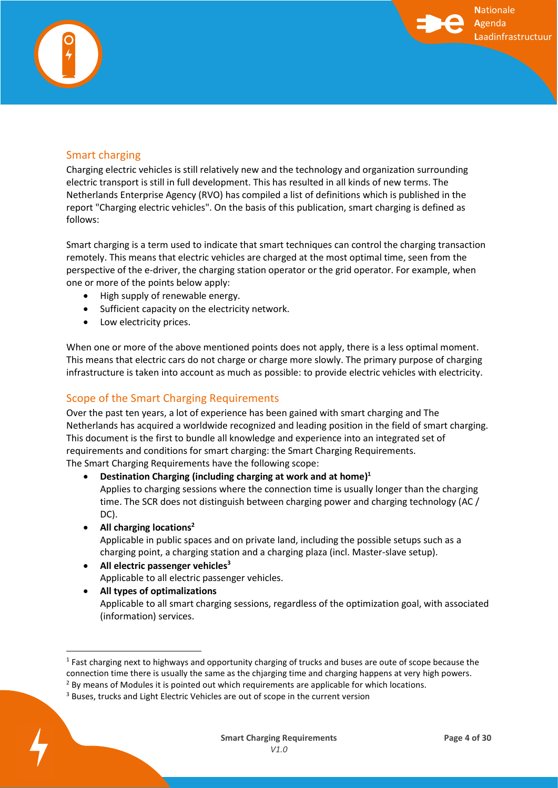<span id="page-3-0"></span>

Charging electric vehicles is still relatively new and the technology and organization surrounding electric transport is still in full development. This has resulted in all kinds of new terms. The Netherlands Enterprise Agency (RVO) has compiled a list of definitions which is published in the report "Charging electric vehicles". On the basis of this publication, smart charging is defined as follows:

Smart charging is a term used to indicate that smart techniques can control the charging transaction remotely. This means that electric vehicles are charged at the most optimal time, seen from the perspective of the e-driver, the charging station operator or the grid operator. For example, when one or more of the points below apply:

- High supply of renewable energy.
- Sufficient capacity on the electricity network.
- Low electricity prices.

When one or more of the above mentioned points does not apply, there is a less optimal moment. This means that electric cars do not charge or charge more slowly. The primary purpose of charging infrastructure is taken into account as much as possible: to provide electric vehicles with electricity.

## <span id="page-3-1"></span>Scope of the Smart Charging Requirements

Over the past ten years, a lot of experience has been gained with smart charging and The Netherlands has acquired a worldwide recognized and leading position in the field of smart charging. This document is the first to bundle all knowledge and experience into an integrated set of requirements and conditions for smart charging: the Smart Charging Requirements. The Smart Charging Requirements have the following scope:

• **Destination Charging (including charging at work and at home) 1** Applies to charging sessions where the connection time is usually longer than the charging time. The SCR does not distinguish between charging power and charging technology (AC / DC).

- **All charging locations 2** Applicable in public spaces and on private land, including the possible setups such as a charging point, a charging station and a charging plaza (incl. Master-slave setup).
- **All electric passenger vehicles<sup>3</sup>** Applicable to all electric passenger vehicles.
- **All types of optimalizations** Applicable to all smart charging sessions, regardless of the optimization goal, with associated (information) services.

**N**ationale **A**genda

**L**aadinfrastructuur

 $<sup>1</sup>$  Fast charging next to highways and opportunity charging of trucks and buses are oute of scope because the</sup> connection time there is usually the same as the chjarging time and charging happens at very high powers. <sup>2</sup> By means of Modules it is pointed out which requirements are applicable for which locations.

<sup>&</sup>lt;sup>3</sup> Buses, trucks and Light Electric Vehicles are out of scope in the current version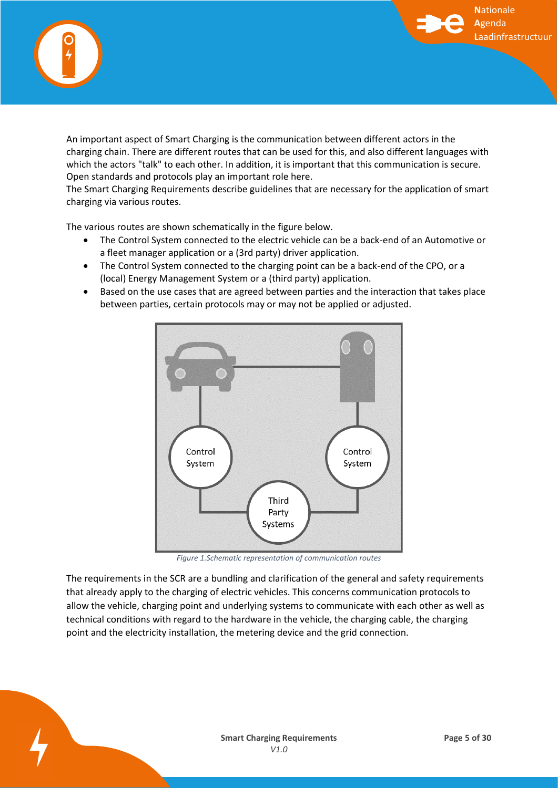

An important aspect of Smart Charging is the communication between different actors in the charging chain. There are different routes that can be used for this, and also different languages with which the actors "talk" to each other. In addition, it is important that this communication is secure. Open standards and protocols play an important role here.

The Smart Charging Requirements describe guidelines that are necessary for the application of smart charging via various routes.

The various routes are shown schematically in the figure below.

- The Control System connected to the electric vehicle can be a back-end of an Automotive or a fleet manager application or a (3rd party) driver application.
- The Control System connected to the charging point can be a back-end of the CPO, or a (local) Energy Management System or a (third party) application.
- Based on the use cases that are agreed between parties and the interaction that takes place between parties, certain protocols may or may not be applied or adjusted.



*Figure 1.Schematic representation of communication routes*

The requirements in the SCR are a bundling and clarification of the general and safety requirements that already apply to the charging of electric vehicles. This concerns communication protocols to allow the vehicle, charging point and underlying systems to communicate with each other as well as technical conditions with regard to the hardware in the vehicle, the charging cable, the charging point and the electricity installation, the metering device and the grid connection.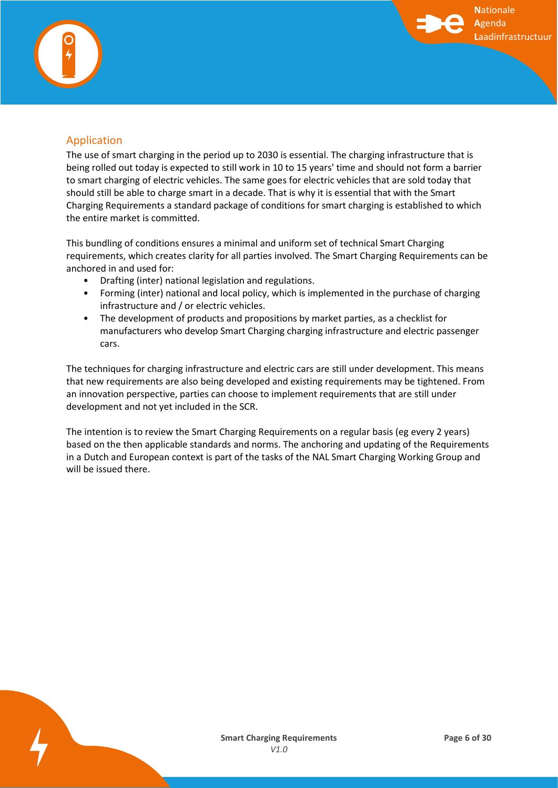

# <span id="page-5-0"></span>Application

The use of smart charging in the period up to 2030 is essential. The charging infrastructure that is being rolled out today is expected to still work in 10 to 15 years' time and should not form a barrier to smart charging of electric vehicles. The same goes for electric vehicles that are sold today that should still be able to charge smart in a decade. That is why it is essential that with the Smart Charging Requirements a standard package of conditions for smart charging is established to which the entire market is committed.

This bundling of conditions ensures a minimal and uniform set of technical Smart Charging requirements, which creates clarity for all parties involved. The Smart Charging Requirements can be anchored in and used for:

- Drafting (inter) national legislation and regulations.
- Forming (inter) national and local policy, which is implemented in the purchase of charging infrastructure and / or electric vehicles.
- The development of products and propositions by market parties, as a checklist for manufacturers who develop Smart Charging charging infrastructure and electric passenger cars.

The techniques for charging infrastructure and electric cars are still under development. This means that new requirements are also being developed and existing requirements may be tightened. From an innovation perspective, parties can choose to implement requirements that are still under development and not yet included in the SCR.

The intention is to review the Smart Charging Requirements on a regular basis (eg every 2 years) based on the then applicable standards and norms. The anchoring and updating of the Requirements in a Dutch and European context is part of the tasks of the NAL Smart Charging Working Group and will be issued there.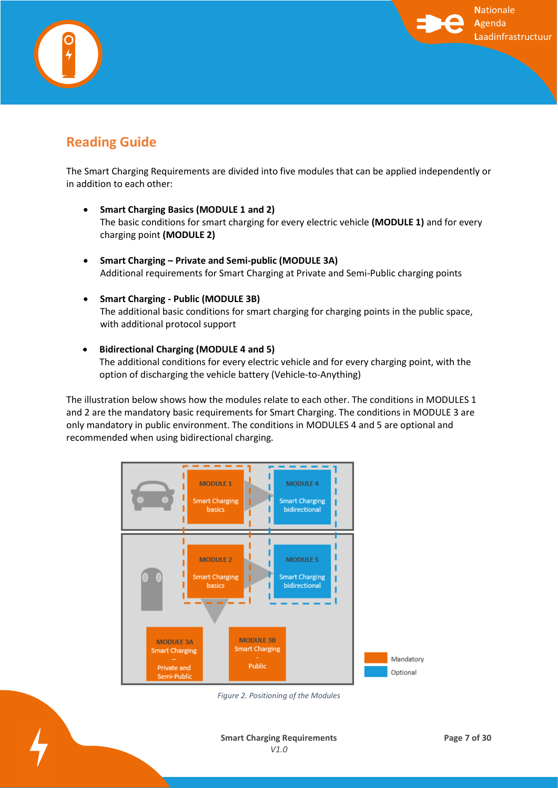

# <span id="page-6-0"></span>**Reading Guide**

The Smart Charging Requirements are divided into five modules that can be applied independently or in addition to each other:

- **Smart Charging Basics (MODULE 1 and 2)** The basic conditions for smart charging for every electric vehicle **(MODULE 1)** and for every charging point **(MODULE 2)**
- **Smart Charging – Private and Semi-public (MODULE 3A)** Additional requirements for Smart Charging at Private and Semi-Public charging points
- **Smart Charging - Public (MODULE 3B)** The additional basic conditions for smart charging for charging points in the public space, with additional protocol support
- **Bidirectional Charging (MODULE 4 and 5)** The additional conditions for every electric vehicle and for every charging point, with the option of discharging the vehicle battery (Vehicle-to-Anything)

The illustration below shows how the modules relate to each other. The conditions in MODULES 1 and 2 are the mandatory basic requirements for Smart Charging. The conditions in MODULE 3 are only mandatory in public environment. The conditions in MODULES 4 and 5 are optional and recommended when using bidirectional charging.



*Figure 2. Positioning of the Modules*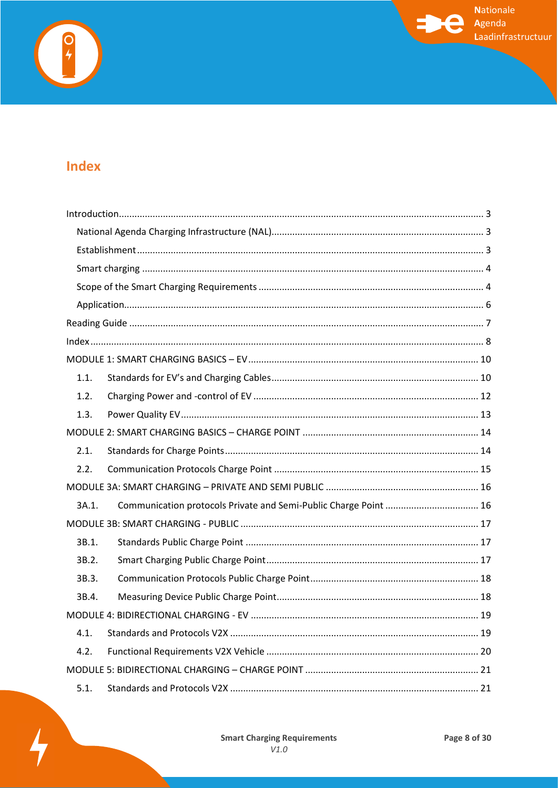



E

# <span id="page-7-0"></span>Index

 $\overline{4}$ 

| 1.1.  |                                                                  |
|-------|------------------------------------------------------------------|
| 1.2.  |                                                                  |
| 1.3.  |                                                                  |
|       |                                                                  |
| 2.1.  |                                                                  |
| 2.2.  |                                                                  |
|       |                                                                  |
| 3A.1. | Communication protocols Private and Semi-Public Charge Point  16 |
|       |                                                                  |
| 3B.1. |                                                                  |
| 3B.2. |                                                                  |
| 3B.3. |                                                                  |
| 3B.4. |                                                                  |
|       |                                                                  |
| 4.1.  |                                                                  |
| 4.2.  |                                                                  |
|       |                                                                  |
| 5.1.  |                                                                  |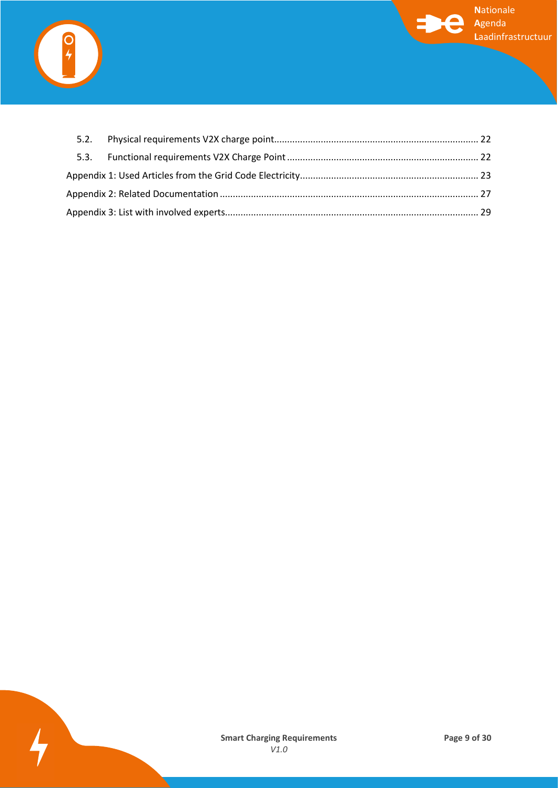

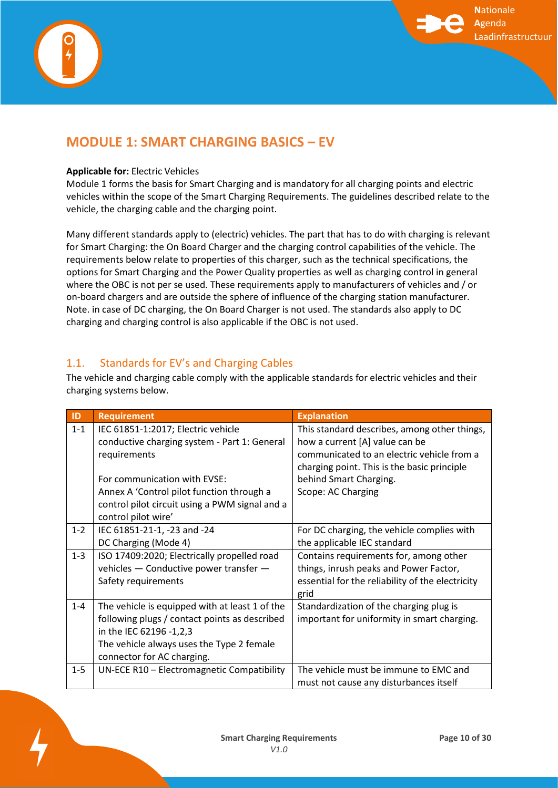

# <span id="page-9-0"></span>**MODULE 1: SMART CHARGING BASICS – EV**

#### **Applicable for:** Electric Vehicles

Module 1 forms the basis for Smart Charging and is mandatory for all charging points and electric vehicles within the scope of the Smart Charging Requirements. The guidelines described relate to the vehicle, the charging cable and the charging point.

Many different standards apply to (electric) vehicles. The part that has to do with charging is relevant for Smart Charging: the On Board Charger and the charging control capabilities of the vehicle. The requirements below relate to properties of this charger, such as the technical specifications, the options for Smart Charging and the Power Quality properties as well as charging control in general where the OBC is not per se used. These requirements apply to manufacturers of vehicles and / or on-board chargers and are outside the sphere of influence of the charging station manufacturer. Note. in case of DC charging, the On Board Charger is not used. The standards also apply to DC charging and charging control is also applicable if the OBC is not used.

## <span id="page-9-1"></span>1.1. Standards for EV's and Charging Cables

The vehicle and charging cable comply with the applicable standards for electric vehicles and their charging systems below.

| ID      | <b>Requirement</b>                                                                                                                                                                                                                                       | <b>Explanation</b>                                                                                                                                                                                                          |
|---------|----------------------------------------------------------------------------------------------------------------------------------------------------------------------------------------------------------------------------------------------------------|-----------------------------------------------------------------------------------------------------------------------------------------------------------------------------------------------------------------------------|
| $1 - 1$ | IEC 61851-1:2017; Electric vehicle<br>conductive charging system - Part 1: General<br>requirements<br>For communication with EVSE:<br>Annex A 'Control pilot function through a<br>control pilot circuit using a PWM signal and a<br>control pilot wire' | This standard describes, among other things,<br>how a current [A] value can be<br>communicated to an electric vehicle from a<br>charging point. This is the basic principle<br>behind Smart Charging.<br>Scope: AC Charging |
| $1 - 2$ | IEC 61851-21-1, -23 and -24<br>DC Charging (Mode 4)                                                                                                                                                                                                      | For DC charging, the vehicle complies with<br>the applicable IEC standard                                                                                                                                                   |
| $1 - 3$ | ISO 17409:2020; Electrically propelled road<br>vehicles - Conductive power transfer -<br>Safety requirements                                                                                                                                             | Contains requirements for, among other<br>things, inrush peaks and Power Factor,<br>essential for the reliability of the electricity<br>grid                                                                                |
| $1 - 4$ | The vehicle is equipped with at least 1 of the<br>following plugs / contact points as described<br>in the IEC 62196 -1,2,3<br>The vehicle always uses the Type 2 female<br>connector for AC charging.                                                    | Standardization of the charging plug is<br>important for uniformity in smart charging.                                                                                                                                      |
| $1 - 5$ | UN-ECE R10 - Electromagnetic Compatibility                                                                                                                                                                                                               | The vehicle must be immune to EMC and<br>must not cause any disturbances itself                                                                                                                                             |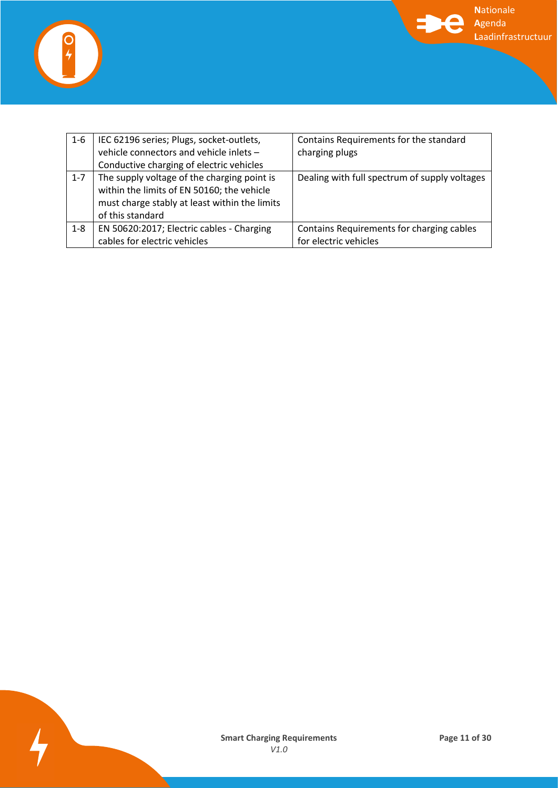

| $1 - 6$ | IEC 62196 series; Plugs, socket-outlets,<br>vehicle connectors and vehicle inlets -<br>Conductive charging of electric vehicles                                | Contains Requirements for the standard<br>charging plugs           |
|---------|----------------------------------------------------------------------------------------------------------------------------------------------------------------|--------------------------------------------------------------------|
| $1 - 7$ | The supply voltage of the charging point is<br>within the limits of EN 50160; the vehicle<br>must charge stably at least within the limits<br>of this standard | Dealing with full spectrum of supply voltages                      |
| $1 - 8$ | EN 50620:2017; Electric cables - Charging<br>cables for electric vehicles                                                                                      | Contains Requirements for charging cables<br>for electric vehicles |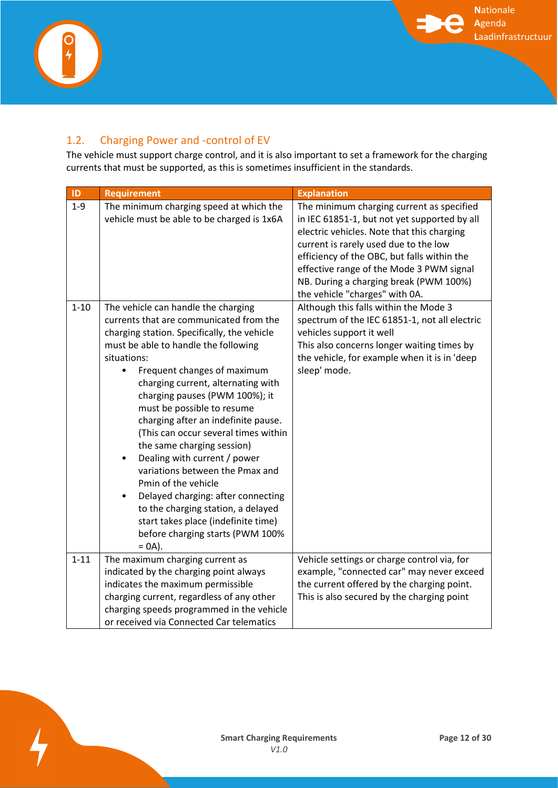

# <span id="page-11-0"></span>1.2. Charging Power and -control of EV

The vehicle must support charge control, and it is also important to set a framework for the charging currents that must be supported, as this is sometimes insufficient in the standards.

| ID       | <b>Requirement</b>                                                                                                                                                                                                                                                                                                                                                                                                                                                                                                                                                                                                                                                                                   | <b>Explanation</b>                                                                                                                                                                                                                                                                                                                                      |
|----------|------------------------------------------------------------------------------------------------------------------------------------------------------------------------------------------------------------------------------------------------------------------------------------------------------------------------------------------------------------------------------------------------------------------------------------------------------------------------------------------------------------------------------------------------------------------------------------------------------------------------------------------------------------------------------------------------------|---------------------------------------------------------------------------------------------------------------------------------------------------------------------------------------------------------------------------------------------------------------------------------------------------------------------------------------------------------|
| $1 - 9$  | The minimum charging speed at which the<br>vehicle must be able to be charged is 1x6A                                                                                                                                                                                                                                                                                                                                                                                                                                                                                                                                                                                                                | The minimum charging current as specified<br>in IEC 61851-1, but not yet supported by all<br>electric vehicles. Note that this charging<br>current is rarely used due to the low<br>efficiency of the OBC, but falls within the<br>effective range of the Mode 3 PWM signal<br>NB. During a charging break (PWM 100%)<br>the vehicle "charges" with 0A. |
| $1 - 10$ | The vehicle can handle the charging<br>currents that are communicated from the<br>charging station. Specifically, the vehicle<br>must be able to handle the following<br>situations:<br>Frequent changes of maximum<br>charging current, alternating with<br>charging pauses (PWM 100%); it<br>must be possible to resume<br>charging after an indefinite pause.<br>(This can occur several times within<br>the same charging session)<br>Dealing with current / power<br>variations between the Pmax and<br>Pmin of the vehicle<br>Delayed charging: after connecting<br>to the charging station, a delayed<br>start takes place (indefinite time)<br>before charging starts (PWM 100%<br>$= OA$ ). | Although this falls within the Mode 3<br>spectrum of the IEC 61851-1, not all electric<br>vehicles support it well<br>This also concerns longer waiting times by<br>the vehicle, for example when it is in 'deep<br>sleep' mode.                                                                                                                        |
| $1 - 11$ | The maximum charging current as                                                                                                                                                                                                                                                                                                                                                                                                                                                                                                                                                                                                                                                                      | Vehicle settings or charge control via, for                                                                                                                                                                                                                                                                                                             |
|          | indicated by the charging point always                                                                                                                                                                                                                                                                                                                                                                                                                                                                                                                                                                                                                                                               | example, "connected car" may never exceed                                                                                                                                                                                                                                                                                                               |
|          | indicates the maximum permissible                                                                                                                                                                                                                                                                                                                                                                                                                                                                                                                                                                                                                                                                    | the current offered by the charging point.                                                                                                                                                                                                                                                                                                              |
|          | charging current, regardless of any other                                                                                                                                                                                                                                                                                                                                                                                                                                                                                                                                                                                                                                                            | This is also secured by the charging point                                                                                                                                                                                                                                                                                                              |
|          | charging speeds programmed in the vehicle                                                                                                                                                                                                                                                                                                                                                                                                                                                                                                                                                                                                                                                            |                                                                                                                                                                                                                                                                                                                                                         |
|          | or received via Connected Car telematics                                                                                                                                                                                                                                                                                                                                                                                                                                                                                                                                                                                                                                                             |                                                                                                                                                                                                                                                                                                                                                         |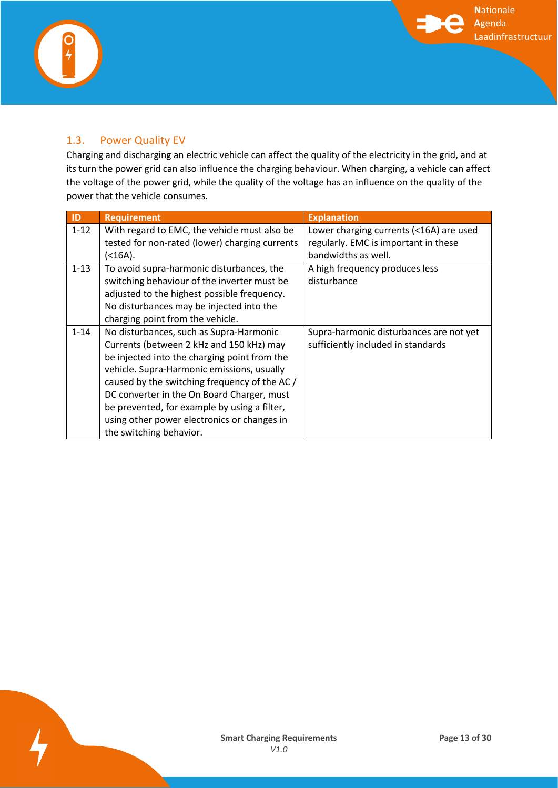



# <span id="page-12-0"></span>1.3. Power Quality EV

Charging and discharging an electric vehicle can affect the quality of the electricity in the grid, and at its turn the power grid can also influence the charging behaviour. When charging, a vehicle can affect the voltage of the power grid, while the quality of the voltage has an influence on the quality of the power that the vehicle consumes.

| ID       | <b>Requirement</b>                             | <b>Explanation</b>                      |
|----------|------------------------------------------------|-----------------------------------------|
| $1 - 12$ | With regard to EMC, the vehicle must also be   | Lower charging currents (<16A) are used |
|          | tested for non-rated (lower) charging currents | regularly. EMC is important in these    |
|          | (<16A).                                        | bandwidths as well.                     |
| $1 - 13$ | To avoid supra-harmonic disturbances, the      | A high frequency produces less          |
|          | switching behaviour of the inverter must be    | disturbance                             |
|          | adjusted to the highest possible frequency.    |                                         |
|          | No disturbances may be injected into the       |                                         |
|          | charging point from the vehicle.               |                                         |
| $1 - 14$ | No disturbances, such as Supra-Harmonic        | Supra-harmonic disturbances are not yet |
|          | Currents (between 2 kHz and 150 kHz) may       | sufficiently included in standards      |
|          | be injected into the charging point from the   |                                         |
|          | vehicle. Supra-Harmonic emissions, usually     |                                         |
|          | caused by the switching frequency of the AC /  |                                         |
|          | DC converter in the On Board Charger, must     |                                         |
|          | be prevented, for example by using a filter,   |                                         |
|          | using other power electronics or changes in    |                                         |
|          | the switching behavior.                        |                                         |

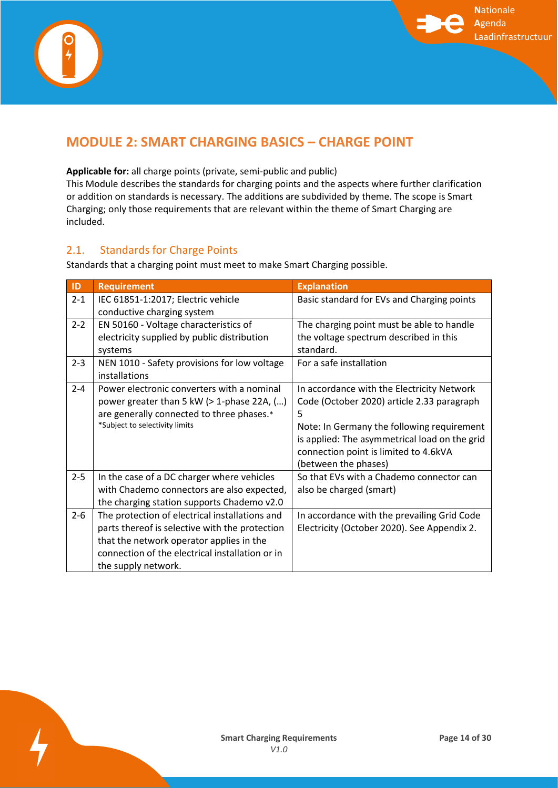

# <span id="page-13-0"></span>**MODULE 2: SMART CHARGING BASICS – CHARGE POINT**

### **Applicable for:** all charge points (private, semi-public and public)

This Module describes the standards for charging points and the aspects where further clarification or addition on standards is necessary. The additions are subdivided by theme. The scope is Smart Charging; only those requirements that are relevant within the theme of Smart Charging are included.

## <span id="page-13-1"></span>2.1. Standards for Charge Points

Standards that a charging point must meet to make Smart Charging possible.

| ID      | <b>Requirement</b>                              | <b>Explanation</b>                            |
|---------|-------------------------------------------------|-----------------------------------------------|
| $2 - 1$ | IEC 61851-1:2017; Electric vehicle              | Basic standard for EVs and Charging points    |
|         | conductive charging system                      |                                               |
| $2 - 2$ | EN 50160 - Voltage characteristics of           | The charging point must be able to handle     |
|         | electricity supplied by public distribution     | the voltage spectrum described in this        |
|         | systems                                         | standard.                                     |
| $2 - 3$ | NEN 1010 - Safety provisions for low voltage    | For a safe installation                       |
|         | installations                                   |                                               |
| $2 - 4$ | Power electronic converters with a nominal      | In accordance with the Electricity Network    |
|         | power greater than 5 kW ( $>$ 1-phase 22A, ()   | Code (October 2020) article 2.33 paragraph    |
|         | are generally connected to three phases.*       | 5                                             |
|         | *Subject to selectivity limits                  | Note: In Germany the following requirement    |
|         |                                                 | is applied: The asymmetrical load on the grid |
|         |                                                 | connection point is limited to 4.6kVA         |
|         |                                                 | (between the phases)                          |
| $2 - 5$ | In the case of a DC charger where vehicles      | So that EVs with a Chademo connector can      |
|         | with Chademo connectors are also expected,      | also be charged (smart)                       |
|         | the charging station supports Chademo v2.0      |                                               |
| $2 - 6$ | The protection of electrical installations and  | In accordance with the prevailing Grid Code   |
|         | parts thereof is selective with the protection  | Electricity (October 2020). See Appendix 2.   |
|         | that the network operator applies in the        |                                               |
|         | connection of the electrical installation or in |                                               |
|         | the supply network.                             |                                               |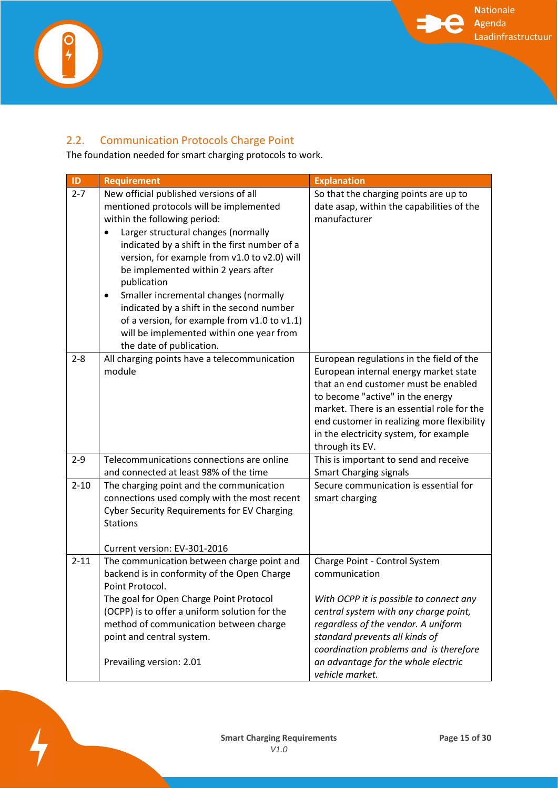

# <span id="page-14-0"></span>2.2. Communication Protocols Charge Point

The foundation needed for smart charging protocols to work.

| ID       | <b>Requirement</b>                                                                                                                                                                                                                                                                                                                                                                                                                                                                                                                 | <b>Explanation</b>                                                                                                                                                                                                                                                                                                     |
|----------|------------------------------------------------------------------------------------------------------------------------------------------------------------------------------------------------------------------------------------------------------------------------------------------------------------------------------------------------------------------------------------------------------------------------------------------------------------------------------------------------------------------------------------|------------------------------------------------------------------------------------------------------------------------------------------------------------------------------------------------------------------------------------------------------------------------------------------------------------------------|
| $2 - 7$  | New official published versions of all<br>mentioned protocols will be implemented<br>within the following period:<br>Larger structural changes (normally<br>indicated by a shift in the first number of a<br>version, for example from v1.0 to v2.0) will<br>be implemented within 2 years after<br>publication<br>Smaller incremental changes (normally<br>٠<br>indicated by a shift in the second number<br>of a version, for example from v1.0 to v1.1)<br>will be implemented within one year from<br>the date of publication. | So that the charging points are up to<br>date asap, within the capabilities of the<br>manufacturer                                                                                                                                                                                                                     |
| $2 - 8$  | All charging points have a telecommunication<br>module                                                                                                                                                                                                                                                                                                                                                                                                                                                                             | European regulations in the field of the<br>European internal energy market state<br>that an end customer must be enabled<br>to become "active" in the energy<br>market. There is an essential role for the<br>end customer in realizing more flexibility<br>in the electricity system, for example<br>through its EV. |
| $2 - 9$  | Telecommunications connections are online<br>and connected at least 98% of the time                                                                                                                                                                                                                                                                                                                                                                                                                                                | This is important to send and receive<br><b>Smart Charging signals</b>                                                                                                                                                                                                                                                 |
| $2 - 10$ | The charging point and the communication<br>connections used comply with the most recent<br><b>Cyber Security Requirements for EV Charging</b><br><b>Stations</b><br>Current version: EV-301-2016                                                                                                                                                                                                                                                                                                                                  | Secure communication is essential for<br>smart charging                                                                                                                                                                                                                                                                |
| $2 - 11$ | The communication between charge point and<br>backend is in conformity of the Open Charge<br>Point Protocol.<br>The goal for Open Charge Point Protocol<br>(OCPP) is to offer a uniform solution for the<br>method of communication between charge<br>point and central system.<br>Prevailing version: 2.01                                                                                                                                                                                                                        | Charge Point - Control System<br>communication<br>With OCPP it is possible to connect any<br>central system with any charge point,<br>regardless of the vendor. A uniform<br>standard prevents all kinds of<br>coordination problems and is therefore<br>an advantage for the whole electric<br>vehicle market.        |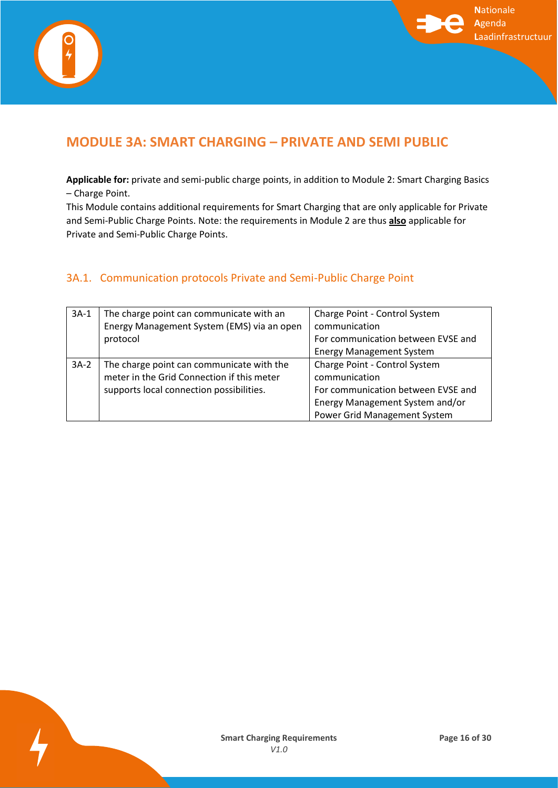

# <span id="page-15-0"></span>**MODULE 3A: SMART CHARGING – PRIVATE AND SEMI PUBLIC**

**Applicable for:** private and semi-public charge points, in addition to Module 2: Smart Charging Basics – Charge Point.

This Module contains additional requirements for Smart Charging that are only applicable for Private and Semi-Public Charge Points. Note: the requirements in Module 2 are thus **also** applicable for Private and Semi-Public Charge Points.

## <span id="page-15-1"></span>3A.1. Communication protocols Private and Semi-Public Charge Point

| $3A-1$ | The charge point can communicate with an<br>Energy Management System (EMS) via an open<br>protocol                                  | Charge Point - Control System<br>communication<br>For communication between EVSE and<br><b>Energy Management System</b>                                 |
|--------|-------------------------------------------------------------------------------------------------------------------------------------|---------------------------------------------------------------------------------------------------------------------------------------------------------|
| $3A-2$ | The charge point can communicate with the<br>meter in the Grid Connection if this meter<br>supports local connection possibilities. | Charge Point - Control System<br>communication<br>For communication between EVSE and<br>Energy Management System and/or<br>Power Grid Management System |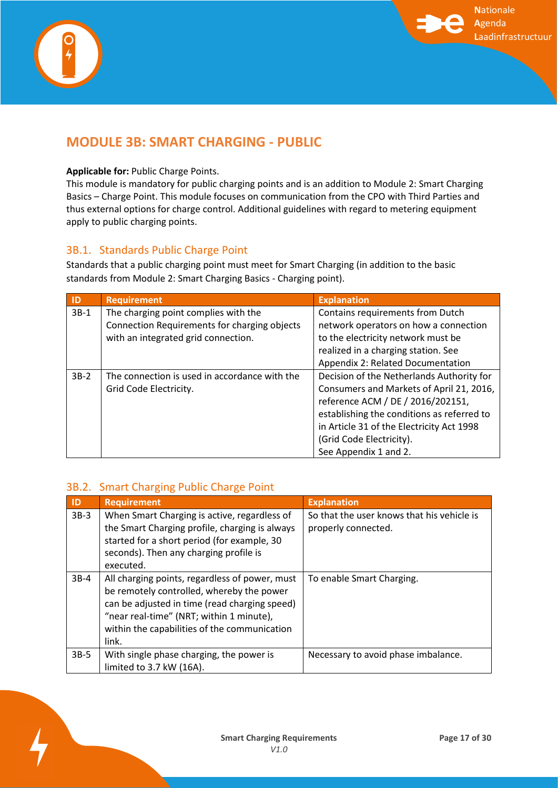

# <span id="page-16-0"></span>**MODULE 3B: SMART CHARGING - PUBLIC**

#### **Applicable for:** Public Charge Points.

This module is mandatory for public charging points and is an addition to Module 2: Smart Charging Basics – Charge Point. This module focuses on communication from the CPO with Third Parties and thus external options for charge control. Additional guidelines with regard to metering equipment apply to public charging points.

## <span id="page-16-1"></span>3B.1. Standards Public Charge Point

Standards that a public charging point must meet for Smart Charging (in addition to the basic standards from Module 2: Smart Charging Basics - Charging point).

| ID     | <b>Requirement</b>                            | <b>Explanation</b>                         |
|--------|-----------------------------------------------|--------------------------------------------|
| $3B-1$ | The charging point complies with the          | Contains requirements from Dutch           |
|        | Connection Requirements for charging objects  | network operators on how a connection      |
|        | with an integrated grid connection.           | to the electricity network must be         |
|        |                                               | realized in a charging station. See        |
|        |                                               | Appendix 2: Related Documentation          |
| $3B-2$ | The connection is used in accordance with the | Decision of the Netherlands Authority for  |
|        | Grid Code Electricity.                        | Consumers and Markets of April 21, 2016,   |
|        |                                               | reference ACM / DE / 2016/202151,          |
|        |                                               | establishing the conditions as referred to |
|        |                                               | in Article 31 of the Electricity Act 1998  |
|        |                                               | (Grid Code Electricity).                   |
|        |                                               | See Appendix 1 and 2.                      |

## <span id="page-16-2"></span>3B.2. Smart Charging Public Charge Point

| ID     | <b>Requirement</b>                                                                                                                                                                                                                                | <b>Explanation</b>                                                |
|--------|---------------------------------------------------------------------------------------------------------------------------------------------------------------------------------------------------------------------------------------------------|-------------------------------------------------------------------|
| $3B-3$ | When Smart Charging is active, regardless of<br>the Smart Charging profile, charging is always<br>started for a short period (for example, 30<br>seconds). Then any charging profile is<br>executed.                                              | So that the user knows that his vehicle is<br>properly connected. |
| $3B-4$ | All charging points, regardless of power, must<br>be remotely controlled, whereby the power<br>can be adjusted in time (read charging speed)<br>"near real-time" (NRT; within 1 minute),<br>within the capabilities of the communication<br>link. | To enable Smart Charging.                                         |
| $3B-5$ | With single phase charging, the power is<br>limited to 3.7 kW (16A).                                                                                                                                                                              | Necessary to avoid phase imbalance.                               |

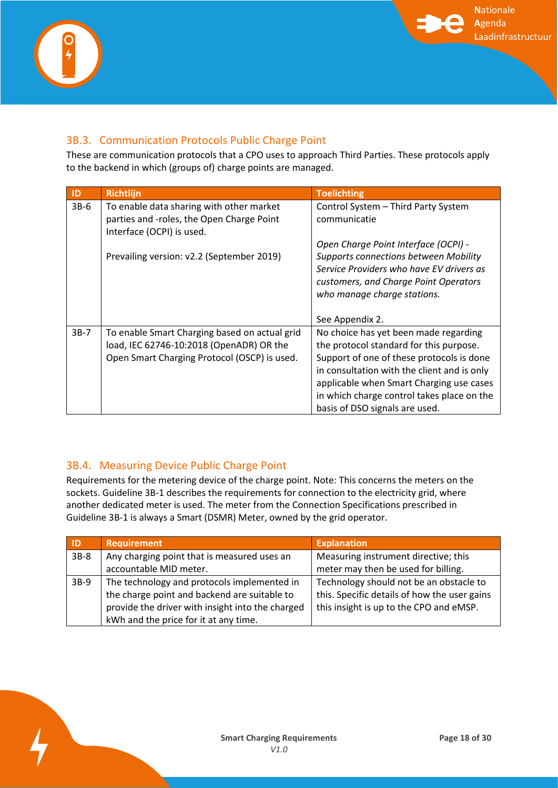

# <span id="page-17-0"></span>3B.3. Communication Protocols Public Charge Point

These are communication protocols that a CPO uses to approach Third Parties. These protocols apply to the backend in which (groups of) charge points are managed.

| $\blacksquare$ | <b>Richtlijn</b>                                                                                                                          | <b>Toelichting</b>                                                                                                                                                                                                                                                                                       |
|----------------|-------------------------------------------------------------------------------------------------------------------------------------------|----------------------------------------------------------------------------------------------------------------------------------------------------------------------------------------------------------------------------------------------------------------------------------------------------------|
| $3B-6$         | To enable data sharing with other market<br>parties and -roles, the Open Charge Point<br>Interface (OCPI) is used.                        | Control System - Third Party System<br>communicatie                                                                                                                                                                                                                                                      |
|                | Prevailing version: v2.2 (September 2019)                                                                                                 | Open Charge Point Interface (OCPI) -<br><b>Supports connections between Mobility</b><br>Service Providers who have EV drivers as<br>customers, and Charge Point Operators<br>who manage charge stations.                                                                                                 |
|                |                                                                                                                                           | See Appendix 2.                                                                                                                                                                                                                                                                                          |
| $3B-7$         | To enable Smart Charging based on actual grid<br>load, IEC 62746-10:2018 (OpenADR) OR the<br>Open Smart Charging Protocol (OSCP) is used. | No choice has yet been made regarding<br>the protocol standard for this purpose.<br>Support of one of these protocols is done<br>in consultation with the client and is only<br>applicable when Smart Charging use cases<br>in which charge control takes place on the<br>basis of DSO signals are used. |

## <span id="page-17-1"></span>3B.4. Measuring Device Public Charge Point

Requirements for the metering device of the charge point. Note: This concerns the meters on the sockets. Guideline 3B-1 describes the requirements for connection to the electricity grid, where another dedicated meter is used. The meter from the Connection Specifications prescribed in Guideline 3B-1 is always a Smart (DSMR) Meter, owned by the grid operator.

| /ID/   | <b>Requirement</b>                               | <b>Explanation</b>                           |  |
|--------|--------------------------------------------------|----------------------------------------------|--|
| $3B-8$ | Any charging point that is measured uses an      | Measuring instrument directive; this         |  |
|        | accountable MID meter.                           | meter may then be used for billing.          |  |
| $3B-9$ | The technology and protocols implemented in      | Technology should not be an obstacle to      |  |
|        | the charge point and backend are suitable to     | this. Specific details of how the user gains |  |
|        | provide the driver with insight into the charged | this insight is up to the CPO and eMSP.      |  |
|        | kWh and the price for it at any time.            |                                              |  |

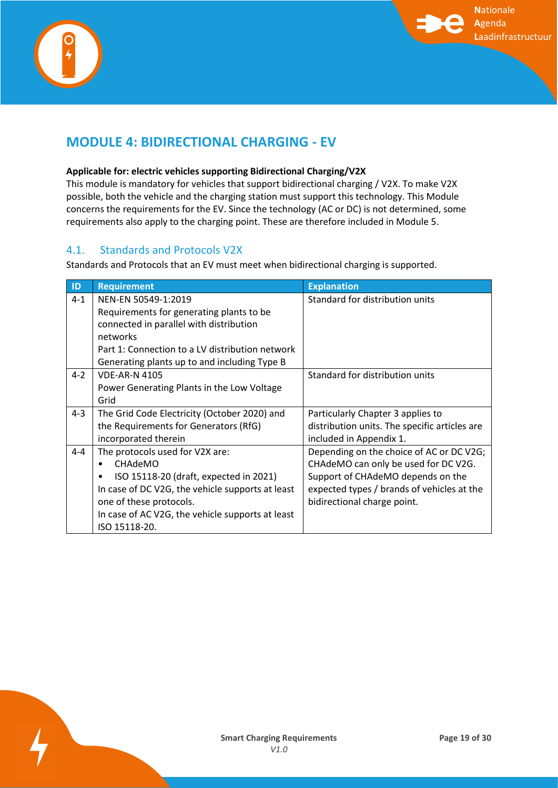

# <span id="page-18-0"></span>**MODULE 4: BIDIRECTIONAL CHARGING - EV**

#### **Applicable for: electric vehicles supporting Bidirectional Charging/V2X**

This module is mandatory for vehicles that support bidirectional charging / V2X. To make V2X possible, both the vehicle and the charging station must support this technology. This Module concerns the requirements for the EV. Since the technology (AC or DC) is not determined, some requirements also apply to the charging point. These are therefore included in Module 5.

## <span id="page-18-1"></span>4.1. Standards and Protocols V2X

Standards and Protocols that an EV must meet when bidirectional charging is supported.

| $\mathsf{ID}$ | <b>Requirement</b>                                              | <b>Explanation</b>                            |
|---------------|-----------------------------------------------------------------|-----------------------------------------------|
| $4 - 1$       | NEN-EN 50549-1:2019<br>Requirements for generating plants to be | Standard for distribution units               |
|               | connected in parallel with distribution<br>networks             |                                               |
|               | Part 1: Connection to a LV distribution network                 |                                               |
|               | Generating plants up to and including Type B                    |                                               |
| $4 - 2$       | <b>VDE-AR-N 4105</b>                                            | Standard for distribution units               |
|               | Power Generating Plants in the Low Voltage                      |                                               |
|               | Grid                                                            |                                               |
| $4 - 3$       | The Grid Code Electricity (October 2020) and                    | Particularly Chapter 3 applies to             |
|               | the Requirements for Generators (RfG)                           | distribution units. The specific articles are |
|               | incorporated therein                                            | included in Appendix 1.                       |
| $4 - 4$       | The protocols used for V2X are:                                 | Depending on the choice of AC or DC V2G;      |
|               | <b>CHAdeMO</b>                                                  | CHAdeMO can only be used for DC V2G.          |
|               | ISO 15118-20 (draft, expected in 2021)<br>٠                     | Support of CHAdeMO depends on the             |
|               | In case of DC V2G, the vehicle supports at least                | expected types / brands of vehicles at the    |
|               | one of these protocols.                                         | bidirectional charge point.                   |
|               | In case of AC V2G, the vehicle supports at least                |                                               |
|               | ISO 15118-20.                                                   |                                               |

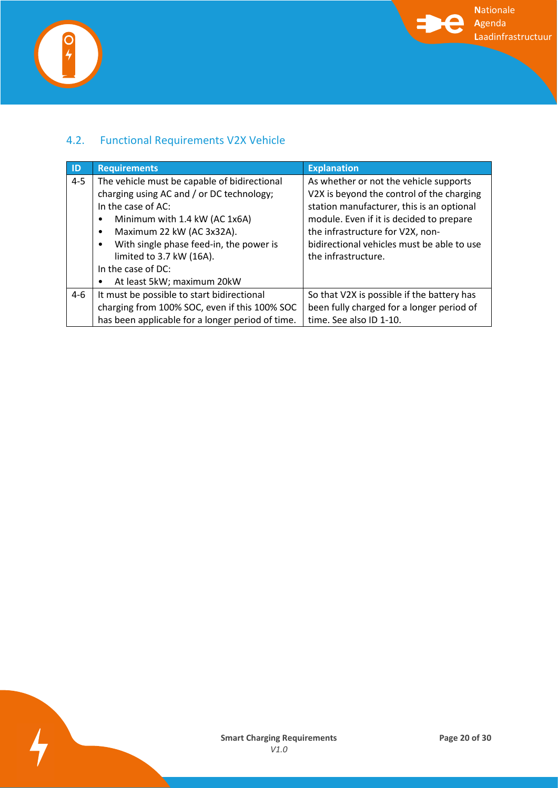

# <span id="page-19-0"></span>4.2. Functional Requirements V2X Vehicle

| $\blacksquare$ | <b>Requirements</b>                              | <b>Explanation</b>                         |
|----------------|--------------------------------------------------|--------------------------------------------|
| $4 - 5$        | The vehicle must be capable of bidirectional     | As whether or not the vehicle supports     |
|                | charging using AC and / or DC technology;        | V2X is beyond the control of the charging  |
|                | In the case of AC:                               | station manufacturer, this is an optional  |
|                | Minimum with 1.4 kW (AC 1x6A)                    | module. Even if it is decided to prepare   |
|                | Maximum 22 kW (AC 3x32A).<br>$\bullet$           | the infrastructure for V2X, non-           |
|                | With single phase feed-in, the power is<br>٠     | bidirectional vehicles must be able to use |
|                | limited to 3.7 kW (16A).                         | the infrastructure.                        |
|                | In the case of DC:                               |                                            |
|                | At least 5kW; maximum 20kW                       |                                            |
| $4 - 6$        | It must be possible to start bidirectional       | So that V2X is possible if the battery has |
|                | charging from 100% SOC, even if this 100% SOC    | been fully charged for a longer period of  |
|                | has been applicable for a longer period of time. | time. See also ID 1-10.                    |

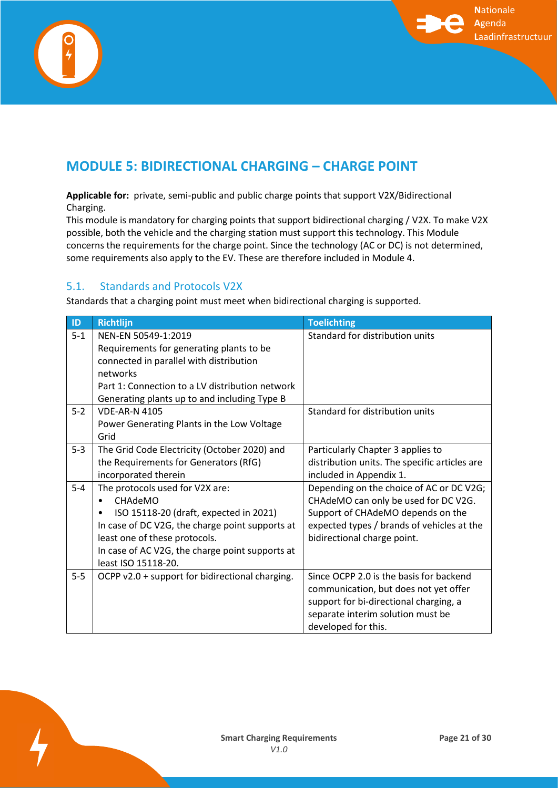

# <span id="page-20-0"></span>**MODULE 5: BIDIRECTIONAL CHARGING – CHARGE POINT**

**Applicable for:** private, semi-public and public charge points that support V2X/Bidirectional Charging.

This module is mandatory for charging points that support bidirectional charging / V2X. To make V2X possible, both the vehicle and the charging station must support this technology. This Module concerns the requirements for the charge point. Since the technology (AC or DC) is not determined, some requirements also apply to the EV. These are therefore included in Module 4.

## <span id="page-20-1"></span>5.1. Standards and Protocols V2X

Standards that a charging point must meet when bidirectional charging is supported.

| ID      | <b>Richtlijn</b>                                | <b>Toelichting</b>                            |
|---------|-------------------------------------------------|-----------------------------------------------|
| $5 - 1$ | NEN-EN 50549-1:2019                             | Standard for distribution units               |
|         | Requirements for generating plants to be        |                                               |
|         | connected in parallel with distribution         |                                               |
|         | networks                                        |                                               |
|         | Part 1: Connection to a LV distribution network |                                               |
|         | Generating plants up to and including Type B    |                                               |
| $5 - 2$ | <b>VDE-AR-N 4105</b>                            | Standard for distribution units               |
|         | Power Generating Plants in the Low Voltage      |                                               |
|         | Grid                                            |                                               |
| $5 - 3$ | The Grid Code Electricity (October 2020) and    | Particularly Chapter 3 applies to             |
|         | the Requirements for Generators (RfG)           | distribution units. The specific articles are |
|         | incorporated therein                            | included in Appendix 1.                       |
| $5-4$   | The protocols used for V2X are:                 | Depending on the choice of AC or DC V2G;      |
|         | CHAdeMO                                         | CHAdeMO can only be used for DC V2G.          |
|         | ISO 15118-20 (draft, expected in 2021)          | Support of CHAdeMO depends on the             |
|         | In case of DC V2G, the charge point supports at | expected types / brands of vehicles at the    |
|         | least one of these protocols.                   | bidirectional charge point.                   |
|         | In case of AC V2G, the charge point supports at |                                               |
|         | least ISO 15118-20.                             |                                               |
| $5-5$   | OCPP v2.0 + support for bidirectional charging. | Since OCPP 2.0 is the basis for backend       |
|         |                                                 | communication, but does not yet offer         |
|         |                                                 | support for bi-directional charging, a        |
|         |                                                 | separate interim solution must be             |
|         |                                                 | developed for this.                           |

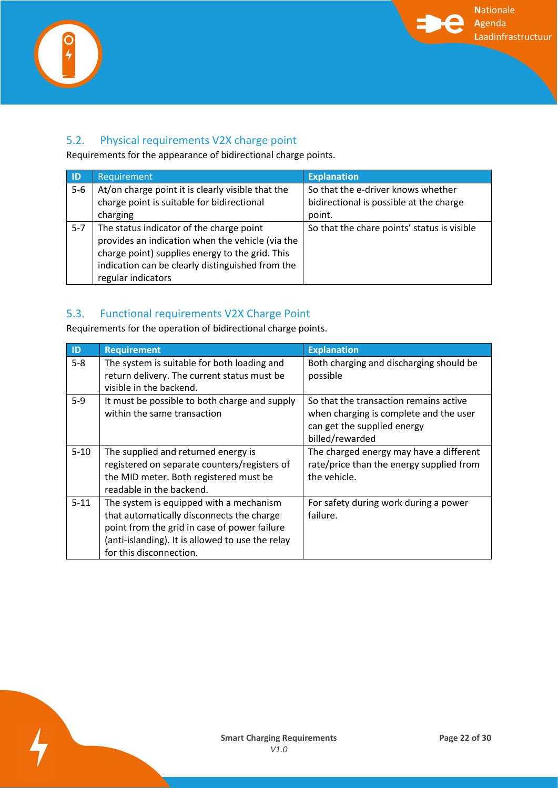

# <span id="page-21-0"></span>5.2. Physical requirements V2X charge point

Requirements for the appearance of bidirectional charge points.

| $\blacksquare$ | Requirement                                       | <b>Explanation</b>                          |
|----------------|---------------------------------------------------|---------------------------------------------|
| $5-6$          | At/on charge point it is clearly visible that the | So that the e-driver knows whether          |
|                | charge point is suitable for bidirectional        | bidirectional is possible at the charge     |
|                | charging                                          | point.                                      |
| $5 - 7$        | The status indicator of the charge point          | So that the chare points' status is visible |
|                | provides an indication when the vehicle (via the  |                                             |
|                | charge point) supplies energy to the grid. This   |                                             |
|                | indication can be clearly distinguished from the  |                                             |
|                | regular indicators                                |                                             |

# <span id="page-21-1"></span>5.3. Functional requirements V2X Charge Point

Requirements for the operation of bidirectional charge points.

| ID       | <b>Requirement</b>                                                                                                                                                                                                  | <b>Explanation</b>                                                                                                                 |
|----------|---------------------------------------------------------------------------------------------------------------------------------------------------------------------------------------------------------------------|------------------------------------------------------------------------------------------------------------------------------------|
| $5-8$    | The system is suitable for both loading and<br>return delivery. The current status must be<br>visible in the backend.                                                                                               | Both charging and discharging should be<br>possible                                                                                |
| $5-9$    | It must be possible to both charge and supply<br>within the same transaction                                                                                                                                        | So that the transaction remains active<br>when charging is complete and the user<br>can get the supplied energy<br>billed/rewarded |
| $5 - 10$ | The supplied and returned energy is<br>registered on separate counters/registers of<br>the MID meter. Both registered must be<br>readable in the backend.                                                           | The charged energy may have a different<br>rate/price than the energy supplied from<br>the vehicle.                                |
| $5 - 11$ | The system is equipped with a mechanism<br>that automatically disconnects the charge<br>point from the grid in case of power failure<br>(anti-islanding). It is allowed to use the relay<br>for this disconnection. | For safety during work during a power<br>failure.                                                                                  |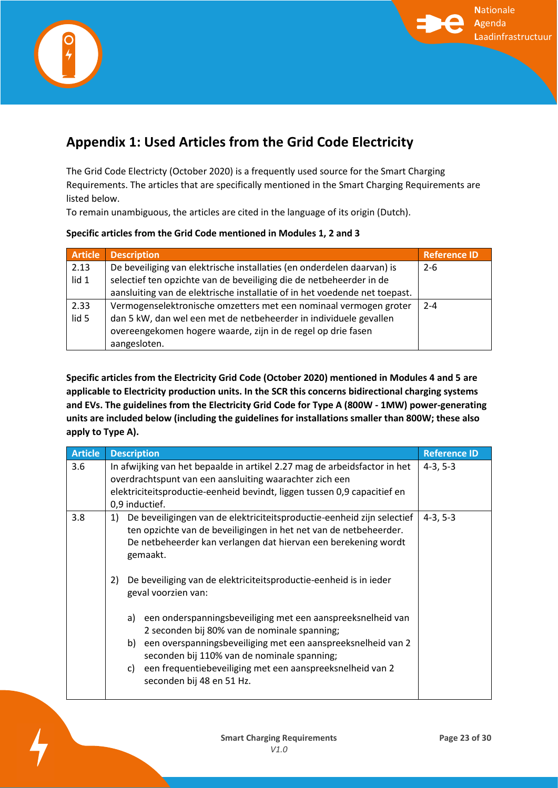

# <span id="page-22-0"></span>**Appendix 1: Used Articles from the Grid Code Electricity**

The Grid Code Electricty (October 2020) is a frequently used source for the Smart Charging Requirements. The articles that are specifically mentioned in the Smart Charging Requirements are listed below.

To remain unambiguous, the articles are cited in the language of its origin (Dutch).

#### **Specific articles from the Grid Code mentioned in Modules 1, 2 and 3**

| <b>Article</b> | <b>Description</b>                                                                                                                                                                                                          | <b>Reference ID</b> |
|----------------|-----------------------------------------------------------------------------------------------------------------------------------------------------------------------------------------------------------------------------|---------------------|
| 2.13<br>lid 1  | De beveiliging van elektrische installaties (en onderdelen daarvan) is<br>selectief ten opzichte van de beveiliging die de netbeheerder in de<br>aansluiting van de elektrische installatie of in het voedende net toepast. | $2 - 6$             |
| 2.33<br>lid 5  | Vermogenselektronische omzetters met een nominaal vermogen groter<br>dan 5 kW, dan wel een met de netbeheerder in individuele gevallen<br>overeengekomen hogere waarde, zijn in de regel op drie fasen<br>aangesloten.      | $2 - 4$             |

**Specific articles from the Electricity Grid Code (October 2020) mentioned in Modules 4 and 5 are applicable to Electricity production units. In the SCR this concerns bidirectional charging systems and EVs. The guidelines from the Electricity Grid Code for Type A (800W - 1MW) power-generating units are included below (including the guidelines for installations smaller than 800W; these also apply to Type A).**

| <b>Article</b> | <b>Description</b>                                                                                                                                                                                                                                                                                                                                      | <b>Reference ID</b> |
|----------------|---------------------------------------------------------------------------------------------------------------------------------------------------------------------------------------------------------------------------------------------------------------------------------------------------------------------------------------------------------|---------------------|
| 3.6            | In afwijking van het bepaalde in artikel 2.27 mag de arbeidsfactor in het<br>overdrachtspunt van een aansluiting waarachter zich een<br>elektriciteitsproductie-eenheid bevindt, liggen tussen 0,9 capacitief en<br>0,9 inductief.                                                                                                                      | $4-3, 5-3$          |
| 3.8            | De beveiligingen van de elektriciteitsproductie-eenheid zijn selectief<br>1)<br>ten opzichte van de beveiligingen in het net van de netbeheerder.<br>De netbeheerder kan verlangen dat hiervan een berekening wordt<br>gemaakt.<br>De beveiliging van de elektriciteitsproductie-eenheid is in ieder<br>2)                                              | $4-3, 5-3$          |
|                | geval voorzien van:<br>a) een onderspanningsbeveiliging met een aanspreeksnelheid van<br>2 seconden bij 80% van de nominale spanning;<br>b) een overspanningsbeveiliging met een aanspreeksnelheid van 2<br>seconden bij 110% van de nominale spanning;<br>een frequentiebeveiliging met een aanspreeksnelheid van 2<br>c)<br>seconden bij 48 en 51 Hz. |                     |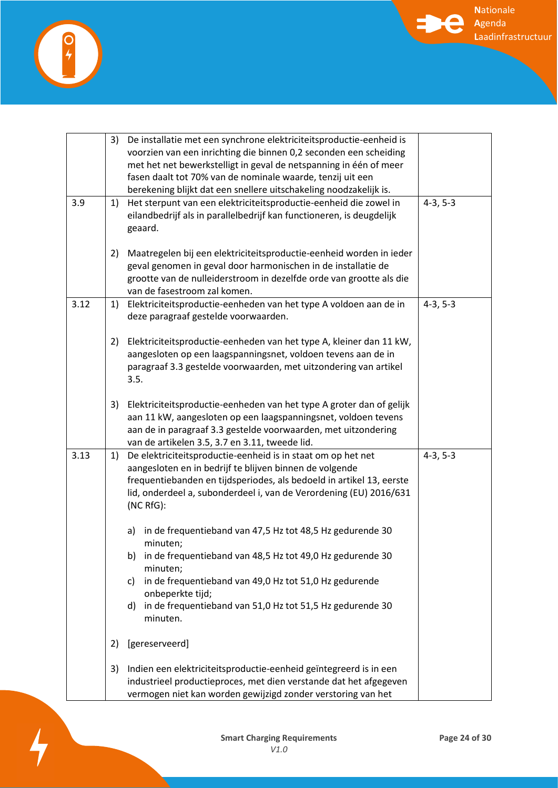

 $\overline{4}$ 

|      | 3) | De installatie met een synchrone elektriciteitsproductie-eenheid is<br>voorzien van een inrichting die binnen 0,2 seconden een scheiding<br>met het net bewerkstelligt in geval de netspanning in één of meer<br>fasen daalt tot 70% van de nominale waarde, tenzij uit een<br>berekening blijkt dat een snellere uitschakeling noodzakelijk is. |            |
|------|----|--------------------------------------------------------------------------------------------------------------------------------------------------------------------------------------------------------------------------------------------------------------------------------------------------------------------------------------------------|------------|
| 3.9  | 1) | Het sterpunt van een elektriciteitsproductie-eenheid die zowel in<br>eilandbedrijf als in parallelbedrijf kan functioneren, is deugdelijk<br>geaard.                                                                                                                                                                                             | $4-3, 5-3$ |
|      | 2) | Maatregelen bij een elektriciteitsproductie-eenheid worden in ieder<br>geval genomen in geval door harmonischen in de installatie de<br>grootte van de nulleiderstroom in dezelfde orde van grootte als die<br>van de fasestroom zal komen.                                                                                                      |            |
| 3.12 | 1) | Elektriciteitsproductie-eenheden van het type A voldoen aan de in<br>deze paragraaf gestelde voorwaarden.                                                                                                                                                                                                                                        | $4-3, 5-3$ |
|      | 2) | Elektriciteitsproductie-eenheden van het type A, kleiner dan 11 kW,<br>aangesloten op een laagspanningsnet, voldoen tevens aan de in<br>paragraaf 3.3 gestelde voorwaarden, met uitzondering van artikel<br>3.5.                                                                                                                                 |            |
|      | 3) | Elektriciteitsproductie-eenheden van het type A groter dan of gelijk<br>aan 11 kW, aangesloten op een laagspanningsnet, voldoen tevens<br>aan de in paragraaf 3.3 gestelde voorwaarden, met uitzondering<br>van de artikelen 3.5, 3.7 en 3.11, tweede lid.                                                                                       |            |
| 3.13 | 1) | De elektriciteitsproductie-eenheid is in staat om op het net<br>aangesloten en in bedrijf te blijven binnen de volgende<br>frequentiebanden en tijdsperiodes, als bedoeld in artikel 13, eerste<br>lid, onderdeel a, subonderdeel i, van de Verordening (EU) 2016/631<br>$(NC$ RfG $)$ :                                                         | $4-3, 5-3$ |
|      |    | in de frequentieband van 47,5 Hz tot 48,5 Hz gedurende 30<br>a)<br>minuten;<br>in de frequentieband van 48,5 Hz tot 49,0 Hz gedurende 30<br>b)                                                                                                                                                                                                   |            |
|      |    | minuten;<br>in de frequentieband van 49,0 Hz tot 51,0 Hz gedurende<br>C)<br>onbeperkte tijd;                                                                                                                                                                                                                                                     |            |
|      |    | in de frequentieband van 51,0 Hz tot 51,5 Hz gedurende 30<br>d)<br>minuten.                                                                                                                                                                                                                                                                      |            |
|      | 2) | [gereserveerd]                                                                                                                                                                                                                                                                                                                                   |            |
|      | 3) | Indien een elektriciteitsproductie-eenheid geïntegreerd is in een<br>industrieel productieproces, met dien verstande dat het afgegeven<br>vermogen niet kan worden gewijzigd zonder verstoring van het                                                                                                                                           |            |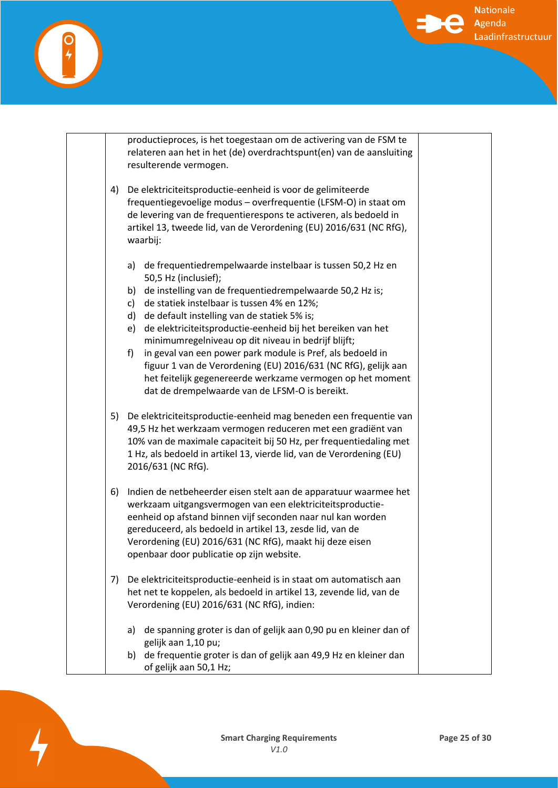

 $\overline{\mathcal{L}}$ 



|    | productieproces, is het toegestaan om de activering van de FSM te<br>relateren aan het in het (de) overdrachtspunt(en) van de aansluiting<br>resulterende vermogen.                                                                                                                                                                                                                                                                                                                                                                                                                                                                                   |  |
|----|-------------------------------------------------------------------------------------------------------------------------------------------------------------------------------------------------------------------------------------------------------------------------------------------------------------------------------------------------------------------------------------------------------------------------------------------------------------------------------------------------------------------------------------------------------------------------------------------------------------------------------------------------------|--|
| 4) | De elektriciteitsproductie-eenheid is voor de gelimiteerde<br>frequentiegevoelige modus - overfrequentie (LFSM-O) in staat om<br>de levering van de frequentierespons te activeren, als bedoeld in<br>artikel 13, tweede lid, van de Verordening (EU) 2016/631 (NC RfG),<br>waarbij:                                                                                                                                                                                                                                                                                                                                                                  |  |
|    | de frequentiedrempelwaarde instelbaar is tussen 50,2 Hz en<br>a)<br>50,5 Hz (inclusief);<br>de instelling van de frequentiedrempelwaarde 50,2 Hz is;<br>b)<br>de statiek instelbaar is tussen 4% en 12%;<br>c)<br>de default instelling van de statiek 5% is;<br>d)<br>de elektriciteitsproductie-eenheid bij het bereiken van het<br>e)<br>minimumregelniveau op dit niveau in bedrijf blijft;<br>in geval van een power park module is Pref, als bedoeld in<br>f)<br>figuur 1 van de Verordening (EU) 2016/631 (NC RfG), gelijk aan<br>het feitelijk gegenereerde werkzame vermogen op het moment<br>dat de drempelwaarde van de LFSM-O is bereikt. |  |
|    | 5) De elektriciteitsproductie-eenheid mag beneden een frequentie van<br>49,5 Hz het werkzaam vermogen reduceren met een gradiënt van<br>10% van de maximale capaciteit bij 50 Hz, per frequentiedaling met<br>1 Hz, als bedoeld in artikel 13, vierde lid, van de Verordening (EU)<br>2016/631 (NC RfG).                                                                                                                                                                                                                                                                                                                                              |  |
| 6) | Indien de netbeheerder eisen stelt aan de apparatuur waarmee het<br>werkzaam uitgangsvermogen van een elektriciteitsproductie-<br>eenheid op afstand binnen vijf seconden naar nul kan worden<br>gereduceerd, als bedoeld in artikel 13, zesde lid, van de<br>Verordening (EU) 2016/631 (NC RfG), maakt hij deze eisen<br>openbaar door publicatie op zijn website.                                                                                                                                                                                                                                                                                   |  |
| 7) | De elektriciteitsproductie-eenheid is in staat om automatisch aan<br>het net te koppelen, als bedoeld in artikel 13, zevende lid, van de<br>Verordening (EU) 2016/631 (NC RfG), indien:                                                                                                                                                                                                                                                                                                                                                                                                                                                               |  |
|    | de spanning groter is dan of gelijk aan 0,90 pu en kleiner dan of<br>a)<br>gelijk aan 1,10 pu;<br>de frequentie groter is dan of gelijk aan 49,9 Hz en kleiner dan<br>b)<br>of gelijk aan 50,1 Hz;                                                                                                                                                                                                                                                                                                                                                                                                                                                    |  |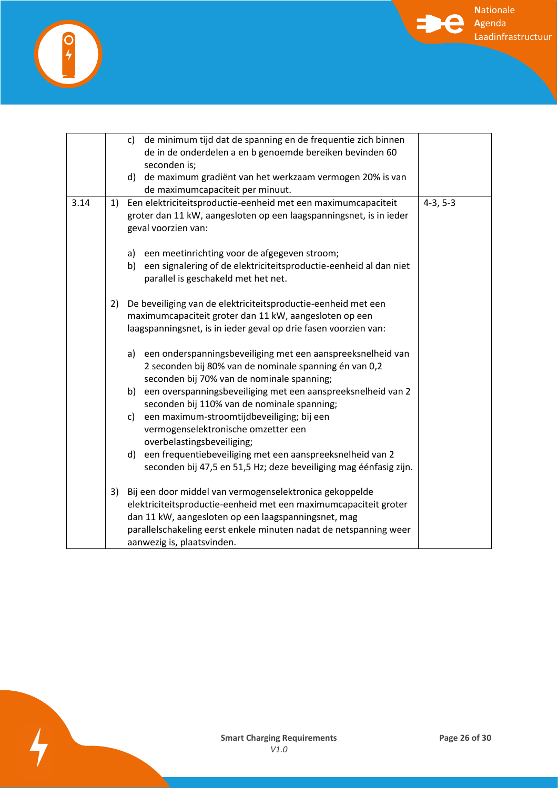

|      |    | de minimum tijd dat de spanning en de frequentie zich binnen<br>c)<br>de in de onderdelen a en b genoemde bereiken bevinden 60<br>seconden is;<br>d) de maximum gradiënt van het werkzaam vermogen 20% is van                                                                         |            |
|------|----|---------------------------------------------------------------------------------------------------------------------------------------------------------------------------------------------------------------------------------------------------------------------------------------|------------|
|      |    | de maximumcapaciteit per minuut.                                                                                                                                                                                                                                                      |            |
| 3.14 | 1) | Een elektriciteitsproductie-eenheid met een maximumcapaciteit<br>groter dan 11 kW, aangesloten op een laagspanningsnet, is in ieder<br>geval voorzien van:                                                                                                                            | $4-3, 5-3$ |
|      |    | a) een meetinrichting voor de afgegeven stroom;<br>b) een signalering of de elektriciteitsproductie-eenheid al dan niet<br>parallel is geschakeld met het net.                                                                                                                        |            |
|      | 2) | De beveiliging van de elektriciteitsproductie-eenheid met een<br>maximumcapaciteit groter dan 11 kW, aangesloten op een<br>laagspanningsnet, is in ieder geval op drie fasen voorzien van:                                                                                            |            |
|      |    | a) een onderspanningsbeveiliging met een aanspreeksnelheid van<br>2 seconden bij 80% van de nominale spanning én van 0,2<br>seconden bij 70% van de nominale spanning;                                                                                                                |            |
|      |    | b) een overspanningsbeveiliging met een aanspreeksnelheid van 2<br>seconden bij 110% van de nominale spanning;                                                                                                                                                                        |            |
|      |    | een maximum-stroomtijdbeveiliging; bij een<br>c)<br>vermogenselektronische omzetter een<br>overbelastingsbeveiliging;                                                                                                                                                                 |            |
|      |    | d) een frequentiebeveiliging met een aanspreeksnelheid van 2<br>seconden bij 47,5 en 51,5 Hz; deze beveiliging mag éénfasig zijn.                                                                                                                                                     |            |
|      | 3) | Bij een door middel van vermogenselektronica gekoppelde<br>elektriciteitsproductie-eenheid met een maximumcapaciteit groter<br>dan 11 kW, aangesloten op een laagspanningsnet, mag<br>parallelschakeling eerst enkele minuten nadat de netspanning weer<br>aanwezig is, plaatsvinden. |            |

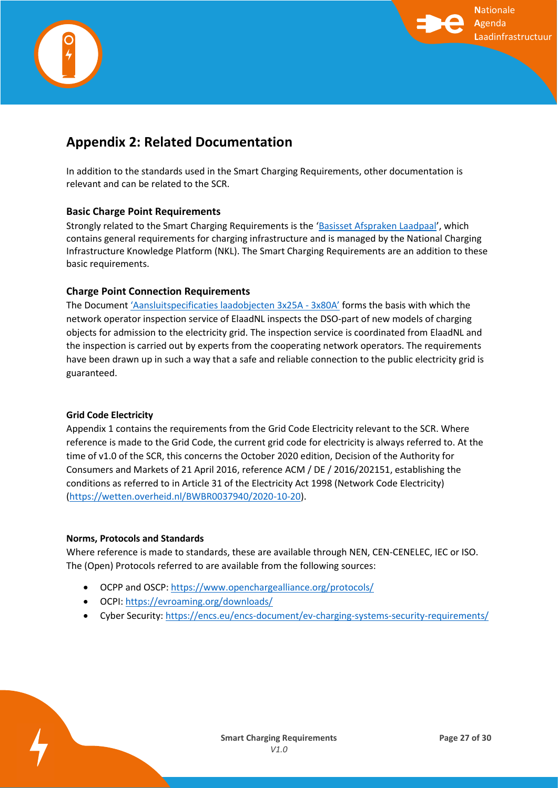

# <span id="page-26-0"></span>**Appendix 2: Related Documentation**

In addition to the standards used in the Smart Charging Requirements, other documentation is relevant and can be related to the SCR.

#### **Basic Charge Point Requirements**

Strongly related to the Smart Charging Requirements is the '[Basisset Afspraken Laadpaal](https://www.nklnederland.nl/projecten/resultaten/resultaat-basisset-afspraken-laadpaal/)', which contains general requirements for charging infrastructure and is managed by the National Charging Infrastructure Knowledge Platform (NKL). The Smart Charging Requirements are an addition to these basic requirements.

#### **Charge Point Connection Requirements**

The Document ['Aansluitspecificaties laadobjecten 3x25A](https://www.elaad.nl/aansluitspecificaties/) - 3x80A' forms the basis with which the network operator inspection service of ElaadNL inspects the DSO-part of new models of charging objects for admission to the electricity grid. The inspection service is coordinated from ElaadNL and the inspection is carried out by experts from the cooperating network operators. The requirements have been drawn up in such a way that a safe and reliable connection to the public electricity grid is guaranteed.

#### **Grid Code Electricity**

Appendix 1 contains the requirements from the Grid Code Electricity relevant to the SCR. Where reference is made to the Grid Code, the current grid code for electricity is always referred to. At the time of v1.0 of the SCR, this concerns the October 2020 edition, Decision of the Authority for Consumers and Markets of 21 April 2016, reference ACM / DE / 2016/202151, establishing the conditions as referred to in Article 31 of the Electricity Act 1998 (Network Code Electricity) [\(https://wetten.overheid.nl/BWBR0037940/2020-10-20\)](https://wetten.overheid.nl/BWBR0037940/2020-10-20).

#### **Norms, Protocols and Standards**

Where reference is made to standards, these are available through NEN, CEN-CENELEC, IEC or ISO. The (Open) Protocols referred to are available from the following sources:

- OCPP and OSCP[: https://www.openchargealliance.org/protocols/](https://www.openchargealliance.org/protocols/)
- OCPI:<https://evroaming.org/downloads/>
- Cyber Security[: https://encs.eu/encs-document/ev-charging-systems-security-requirements/](https://encs.eu/encs-document/ev-charging-systems-security-requirements/)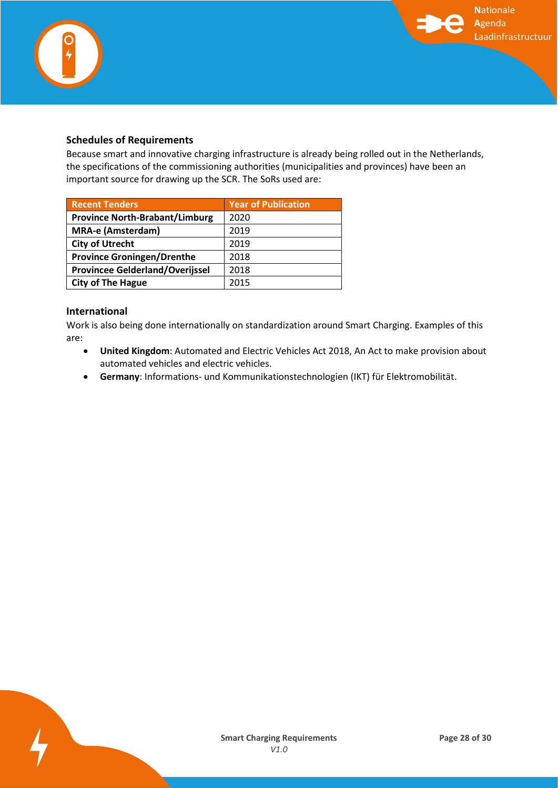## **Schedules of Requirements**

Because smart and innovative charging infrastructure is already being rolled out in the Netherlands, the specifications of the commissioning authorities (municipalities and provinces) have been an important source for drawing up the SCR. The SoRs used are:

| <b>Recent Tenders</b>                  | <b>Year of Publication</b> |
|----------------------------------------|----------------------------|
| <b>Province North-Brabant/Limburg</b>  | 2020                       |
| <b>MRA-e (Amsterdam)</b>               | 2019                       |
| <b>City of Utrecht</b>                 | 2019                       |
| <b>Province Groningen/Drenthe</b>      | 2018                       |
| <b>Provincee Gelderland/Overijssel</b> | 2018                       |
| <b>City of The Hague</b>               | 2015                       |

#### **International**

Work is also being done internationally on standardization around Smart Charging. Examples of this are:

- **United Kingdom**: Automated and Electric Vehicles Act 2018, An Act to make provision about automated vehicles and electric vehicles.
- **Germany**: Informations- und Kommunikationstechnologien (IKT) für Elektromobilität.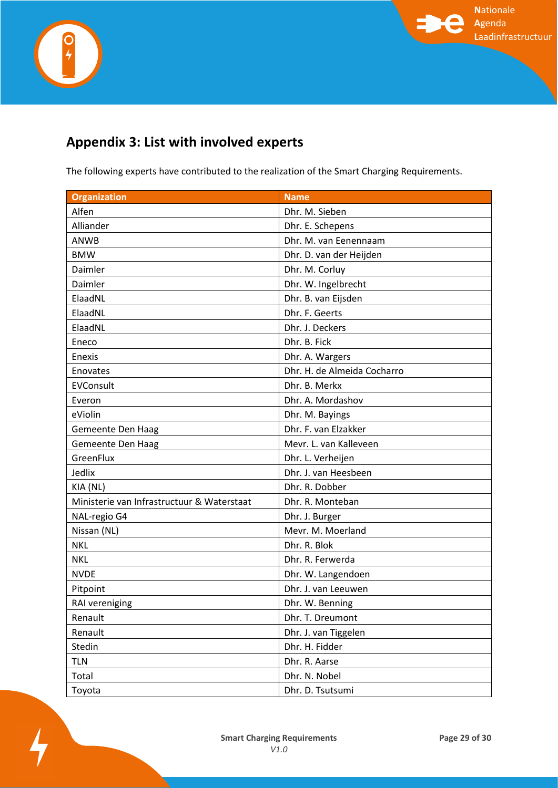

# <span id="page-28-0"></span>**Appendix 3: List with involved experts**

The following experts have contributed to the realization of the Smart Charging Requirements.

| <b>Organization</b>                        | <b>Name</b>                 |
|--------------------------------------------|-----------------------------|
| Alfen                                      | Dhr. M. Sieben              |
| Alliander                                  | Dhr. E. Schepens            |
| <b>ANWB</b>                                | Dhr. M. van Eenennaam       |
| <b>BMW</b>                                 | Dhr. D. van der Heijden     |
| Daimler                                    | Dhr. M. Corluy              |
| Daimler                                    | Dhr. W. Ingelbrecht         |
| ElaadNL                                    | Dhr. B. van Eijsden         |
| ElaadNL                                    | Dhr. F. Geerts              |
| ElaadNL                                    | Dhr. J. Deckers             |
| Eneco                                      | Dhr. B. Fick                |
| <b>Enexis</b>                              | Dhr. A. Wargers             |
| Enovates                                   | Dhr. H. de Almeida Cocharro |
| EVConsult                                  | Dhr. B. Merkx               |
| Everon                                     | Dhr. A. Mordashov           |
| eViolin                                    | Dhr. M. Bayings             |
| <b>Gemeente Den Haag</b>                   | Dhr. F. van Elzakker        |
| Gemeente Den Haag                          | Mevr. L. van Kalleveen      |
| GreenFlux                                  | Dhr. L. Verheijen           |
| Jedlix                                     | Dhr. J. van Heesbeen        |
| KIA (NL)                                   | Dhr. R. Dobber              |
| Ministerie van Infrastructuur & Waterstaat | Dhr. R. Monteban            |
| NAL-regio G4                               | Dhr. J. Burger              |
| Nissan (NL)                                | Mevr. M. Moerland           |
| <b>NKL</b>                                 | Dhr. R. Blok                |
| <b>NKL</b>                                 | Dhr. R. Ferwerda            |
| <b>NVDE</b>                                | Dhr. W. Langendoen          |
| Pitpoint                                   | Dhr. J. van Leeuwen         |
| RAI vereniging                             | Dhr. W. Benning             |
| Renault                                    | Dhr. T. Dreumont            |
| Renault                                    | Dhr. J. van Tiggelen        |
| Stedin                                     | Dhr. H. Fidder              |
| <b>TLN</b>                                 | Dhr. R. Aarse               |
| Total                                      | Dhr. N. Nobel               |
| Toyota                                     | Dhr. D. Tsutsumi            |